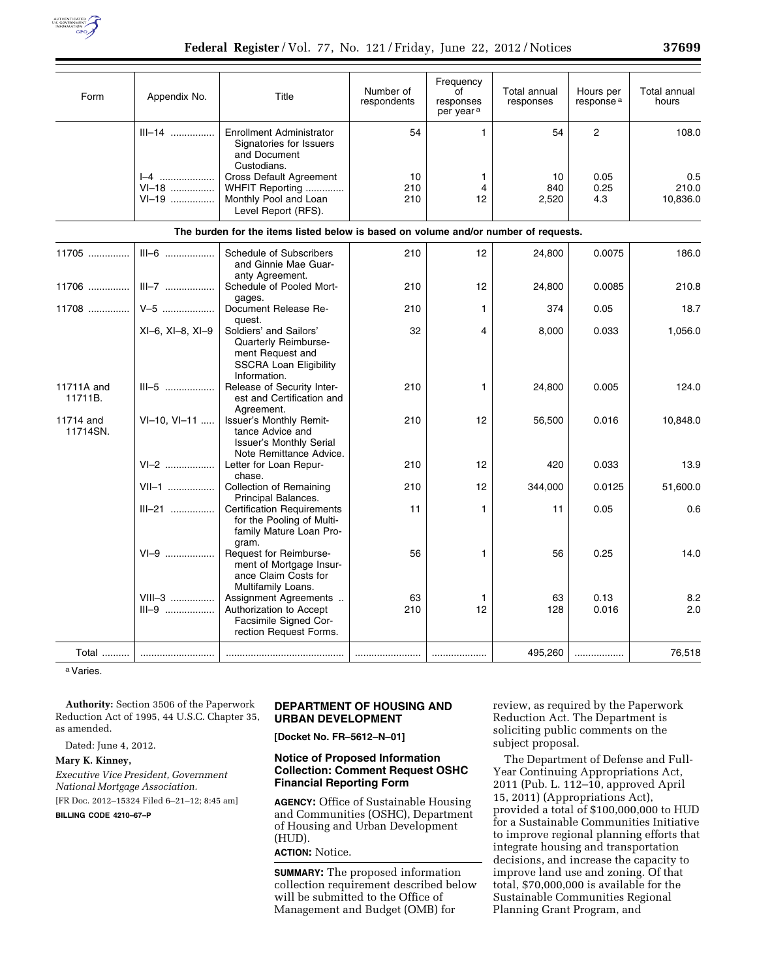

| Form                  | Appendix No.                  | Title                                                                                                               | Number of<br>respondents | Frequency<br>of<br>responses<br>per year <sup>a</sup> | <b>Total annual</b><br>responses | Hours per<br>response <sup>a</sup> | Total annual<br>hours    |
|-----------------------|-------------------------------|---------------------------------------------------------------------------------------------------------------------|--------------------------|-------------------------------------------------------|----------------------------------|------------------------------------|--------------------------|
|                       | $III-14$                      | <b>Enrollment Administrator</b><br>Signatories for Issuers<br>and Document<br>Custodians.                           | 54                       | $\mathbf{1}$                                          | 54                               | $\mathbf{2}$                       | 108.0                    |
|                       | $I - 4$<br>$V1 - 18$<br>VI-19 | <b>Cross Default Agreement</b><br>WHFIT Reporting<br>Monthly Pool and Loan<br>Level Report (RFS).                   | 10<br>210<br>210         | $\mathbf{1}$<br>$\overline{4}$<br>12                  | 10<br>840<br>2,520               | 0.05<br>0.25<br>4.3                | 0.5<br>210.0<br>10,836.0 |
|                       |                               | The burden for the items listed below is based on volume and/or number of requests.                                 |                          |                                                       |                                  |                                    |                          |
| $11705$               | $III-6$                       | Schedule of Subscribers<br>and Ginnie Mae Guar-<br>anty Agreement.                                                  | 210                      | 12                                                    | 24,800                           | 0.0075                             | 186.0                    |
| 11706                 | $III - 7$                     | Schedule of Pooled Mort-<br>gages.                                                                                  | 210                      | 12 <sup>2</sup>                                       | 24,800                           | 0.0085                             | 210.8                    |
| 11708                 | $V-5$                         | Document Release Re-<br>quest.                                                                                      | 210                      | $\mathbf{1}$                                          | 374                              | 0.05                               | 18.7                     |
|                       | $XI-6$ , $XI-8$ , $XI-9$      | Soldiers' and Sailors'<br>Quarterly Reimburse-<br>ment Request and<br><b>SSCRA Loan Eligibility</b><br>Information. | 32                       | 4                                                     | 8,000                            | 0.033                              | 1,056.0                  |
| 11711A and<br>11711B. | $III-5$                       | Release of Security Inter-<br>est and Certification and<br>Agreement.                                               | 210                      | $\mathbf{1}$                                          | 24,800                           | 0.005                              | 124.0                    |
| 11714 and<br>11714SN. | VI-10, VI-11                  | Issuer's Monthly Remit-<br>tance Advice and<br><b>Issuer's Monthly Serial</b><br>Note Remittance Advice.            | 210                      | 12                                                    | 56,500                           | 0.016                              | 10,848.0                 |
|                       | $V1-2$                        | Letter for Loan Repur-                                                                                              | 210                      | 12                                                    | 420                              | 0.033                              | 13.9                     |
|                       | $VII-1$                       | chase.<br><b>Collection of Remaining</b><br>Principal Balances.                                                     | 210                      | 12 <sup>2</sup>                                       | 344,000                          | 0.0125                             | 51,600.0                 |
|                       | $III - 21$                    | <b>Certification Requirements</b><br>for the Pooling of Multi-<br>family Mature Loan Pro-<br>gram.                  | 11                       | $\mathbf{1}$                                          | 11                               | 0.05                               | 0.6                      |
|                       | $VI-9$                        | Request for Reimburse-<br>ment of Mortgage Insur-<br>ance Claim Costs for<br>Multifamily Loans.                     | 56                       | $\mathbf{1}$                                          | 56                               | 0.25                               | 14.0                     |
|                       | $VIII-3$<br>$III-9$           | Assignment Agreements<br>Authorization to Accept<br>Facsimile Signed Cor-<br>rection Request Forms.                 | 63<br>210                | $\mathbf{1}$<br>12                                    | 63<br>128                        | 0.13<br>0.016                      | 8.2<br>2.0               |
| Total                 |                               |                                                                                                                     |                          |                                                       | 495,260                          | .                                  | 76,518                   |

a Varies.

**Authority:** Section 3506 of the Paperwork Reduction Act of 1995, 44 U.S.C. Chapter 35, as amended.

Dated: June 4, 2012.

### **Mary K. Kinney,**

*Executive Vice President, Government National Mortgage Association.* 

[FR Doc. 2012–15324 Filed 6–21–12; 8:45 am]

**BILLING CODE 4210–67–P** 

# **DEPARTMENT OF HOUSING AND URBAN DEVELOPMENT**

**[Docket No. FR–5612–N–01]** 

## **Notice of Proposed Information Collection: Comment Request OSHC Financial Reporting Form**

**AGENCY:** Office of Sustainable Housing and Communities (OSHC), Department of Housing and Urban Development (HUD).

**ACTION:** Notice.

**SUMMARY:** The proposed information collection requirement described below will be submitted to the Office of Management and Budget (OMB) for

review, as required by the Paperwork Reduction Act. The Department is soliciting public comments on the subject proposal.

The Department of Defense and Full-Year Continuing Appropriations Act, 2011 (Pub. L. 112–10, approved April 15, 2011) (Appropriations Act), provided a total of \$100,000,000 to HUD for a Sustainable Communities Initiative to improve regional planning efforts that integrate housing and transportation decisions, and increase the capacity to improve land use and zoning. Of that total, \$70,000,000 is available for the Sustainable Communities Regional Planning Grant Program, and